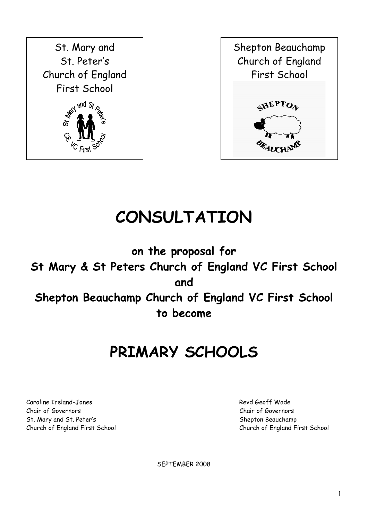



# **CONSULTATION**

**on the proposal for St Mary & St Peters Church of England VC First School and Shepton Beauchamp Church of England VC First School to become**

## **PRIMARY SCHOOLS**

Caroline Ireland-Jones **Review Caroline Inc.** Present and the Second Present Architecture Revd Geoff Wade Chair of Governors Chair of Governors St. Mary and St. Peter's Shepton Beauchamp

Church of England First School Church of England First School

SEPTEMBER 2008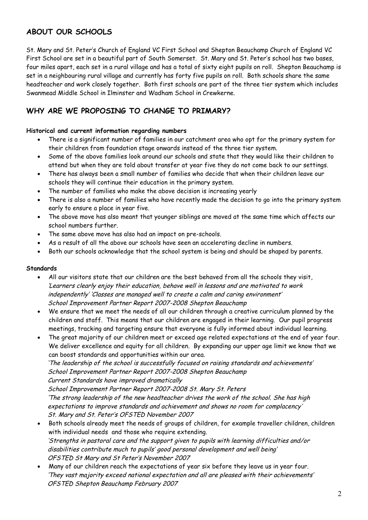## **ABOUT OUR SCHOOLS**

St. Mary and St. Peter's Church of England VC First School and Shepton Beauchamp Church of England VC First School are set in a beautiful part of South Somerset. St. Mary and St. Peter's school has two bases, four miles apart, each set in a rural village and has a total of sixty eight pupils on roll. Shepton Beauchamp is set in a neighbouring rural village and currently has forty five pupils on roll. Both schools share the same headteacher and work closely together. Both first schools are part of the three tier system which includes Swanmead Middle School in Ilminster and Wadham School in Crewkerne.

## **WHY ARE WE PROPOSING TO CHANGE TO PRIMARY?**

#### **Historical and current information regarding numbers**

- There is a significant number of families in our catchment area who opt for the primary system for their children from foundation stage onwards instead of the three tier system.
- Some of the above families look around our schools and state that they would like their children to attend but when they are told about transfer at year five they do not come back to our settings.
- There has always been a small number of families who decide that when their children leave our schools they will continue their education in the primary system.
- The number of families who make the above decision is increasing yearly
- There is also a number of families who have recently made the decision to go into the primary system early to ensure a place in year five.
- The above move has also meant that younger siblings are moved at the same time which affects our school numbers further.
- The same above move has also had an impact on pre-schools.
- As a result of all the above our schools have seen an accelerating decline in numbers.
- Both our schools acknowledge that the school system is being and should be shaped by parents.

#### **Standards**

- All our visitors state that our children are the best behaved from all the schools they visit, 'Learners clearly enjoy their education, behave well in lessons and are motivated to work independently' 'Classes are managed well to create a calm and caring environment' School Improvement Partner Report 2007-2008 Shepton Beauchamp
- We ensure that we meet the needs of all our children through a creative curriculum planned by the children and staff. This means that our children are engaged in their learning. Our pupil progress meetings, tracking and targeting ensure that everyone is fully informed about individual learning.
- The great majority of our children meet or exceed age related expectations at the end of year four. We deliver excellence and equity for all children. By expanding our upper age limit we know that we can boost standards and opportunities within our area.

'The leadership of the school is successfully focused on raising standards and achievements' School Improvement Partner Report 2007-2008 Shepton Beauchamp

Current Standards have improved dramatically

School Improvement Partner Report 2007-2008 St. Mary St. Peters 'The strong leadership of the new headteacher drives the work of the school. She has high expectations to improve standards and achievement and shows no room for complacency' St. Mary and St. Peter's OFSTED November 2007

- Both schools already meet the needs of groups of children, for example traveller children, children with individual needs and those who require extending. 'Strengths in pastoral care and the support given to pupils with learning difficulties and/or disabilities contribute much to pupils' good personal development and well being' OFSTED St Mary and St Peter's November 2007
- Many of our children reach the expectations of year six before they leave us in year four. 'They vast majority exceed national expectation and all are pleased with their achievements' OFSTED Shepton Beauchamp February 2007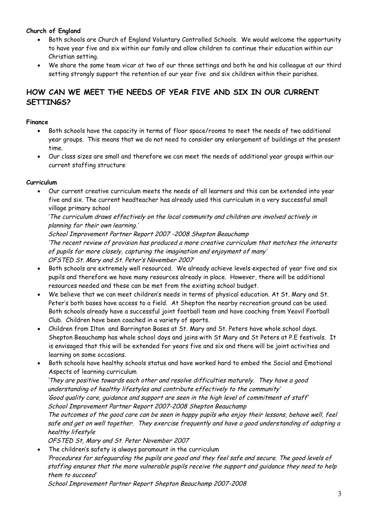#### **Church of England**

- Both schools are Church of England Voluntary Controlled Schools. We would welcome the opportunity to have year five and six within our family and allow children to continue their education within our Christian setting.
- We share the same team vicar at two of our three settings and both he and his colleague at our third setting strongly support the retention of our year five and six children within their parishes.

## **HOW CAN WE MEET THE NEEDS OF YEAR FIVE AND SIX IN OUR CURRENT SETTINGS?**

#### **Finance**

- Both schools have the capacity in terms of floor space/rooms to meet the needs of two additional year groups. This means that we do not need to consider any enlargement of buildings at the present time.
- Our class sizes are small and therefore we can meet the needs of additional year groups within our current staffing structure

#### **Curriculum**

 Our current creative curriculum meets the needs of all learners and this can be extended into year five and six. The current headteacher has already used this curriculum in a very successful small village primary school

'The curriculum draws effectively on the local community and children are involved actively in planning for their own learning.'

School Improvement Partner Report 2007 -2008 Shepton Beauchamp 'The recent review of provision has produced a more creative curriculum that matches the interests of pupils far more closely, capturing the imagination and enjoyment of many' OFSTED St. Mary and St. Peter's November 2007

- Both schools are extremely well resourced. We already achieve levels expected of year five and six pupils and therefore we have many resources already in place. However, there will be additional resources needed and these can be met from the existing school budget.
- We believe that we can meet children's needs in terms of physical education. At St. Mary and St. Peter's both bases have access to a field. At Shepton the nearby recreation ground can be used. Both schools already have a successful joint football team and have coaching from Yeovil Football Club. Children have been coached in a variety of sports.
- Children from Ilton and Barrington Bases at St. Mary and St. Peters have whole school days. Shepton Beauchamp has whole school days and joins with St Mary and St Peters at P.E festivals. It is envisaged that this will be extended for years five and six and there will be joint activities and learning on some occasions.
- Both schools have healthy schools status and have worked hard to embed the Social and Emotional Aspects of learning curriculum

'They are positive towards each other and resolve difficulties maturely. They have a good understanding of healthy lifestyles and contribute effectively to the community' 'Good quality care, guidance and support are seen in the high level of commitment of staff' School Improvement Partner Report 2007-2008 Shepton Beauchamp

The outcomes of the good care can be seen in happy pupils who enjoy their lessons, behave well, feel safe and get on well together. They exercise frequently and have a good understanding of adopting a healthy lifestyle

OFSTED St, Mary and St. Peter November 2007

 The children's safety is always paramount in the curriculum 'Procedures for safeguarding the pupils are good and they feel safe and secure. The good levels of staffing ensures that the more vulnerable pupils receive the support and guidance they need to help them to succeed'

School Improvement Partner Report Shepton Beauchamp 2007-2008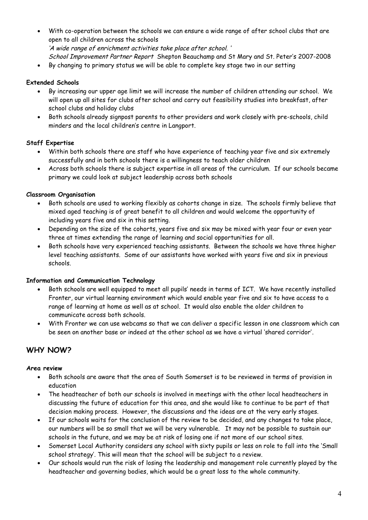- With co-operation between the schools we can ensure a wide range of after school clubs that are open to all children across the schools 'A wide range of enrichment activities take place after school. '
	- School Improvement Partner Report Shepton Beauchamp and St Mary and St. Peter's 2007-2008
- By changing to primary status we will be able to complete key stage two in our setting

#### **Extended Schools**

- By increasing our upper age limit we will increase the number of children attending our school. We will open up all sites for clubs after school and carry out feasibility studies into breakfast, after school clubs and holiday clubs
- Both schools already signpost parents to other providers and work closely with pre-schools, child minders and the local children's centre in Langport.

#### **Staff Expertise**

- Within both schools there are staff who have experience of teaching year five and six extremely successfully and in both schools there is a willingness to teach older children
- Across both schools there is subject expertise in all areas of the curriculum. If our schools became primary we could look at subject leadership across both schools

#### **Classroom Organisation**

- Both schools are used to working flexibly as cohorts change in size. The schools firmly believe that mixed aged teaching is of great benefit to all children and would welcome the opportunity of including years five and six in this setting.
- Depending on the size of the cohorts, years five and six may be mixed with year four or even year three at times extending the range of learning and social opportunities for all.
- Both schools have very experienced teaching assistants. Between the schools we have three higher level teaching assistants. Some of our assistants have worked with years five and six in previous schools.

#### **Information and Communication Technology**

- Both schools are well equipped to meet all pupils' needs in terms of ICT. We have recently installed Fronter, our virtual learning environment which would enable year five and six to have access to a range of learning at home as well as at school. It would also enable the older children to communicate across both schools.
- With Fronter we can use webcams so that we can deliver a specific lesson in one classroom which can be seen on another base or indeed at the other school as we have a virtual 'shared corridor'.

### **WHY NOW?**

#### **Area review**

- Both schools are aware that the area of South Somerset is to be reviewed in terms of provision in education
- The headteacher of both our schools is involved in meetings with the other local headteachers in discussing the future of education for this area, and she would like to continue to be part of that decision making process. However, the discussions and the ideas are at the very early stages.
- If our schools waits for the conclusion of the review to be decided, and any changes to take place, our numbers will be so small that we will be very vulnerable. It may not be possible to sustain our schools in the future, and we may be at risk of losing one if not more of our school sites.
- Somerset Local Authority considers any school with sixty pupils or less on role to fall into the 'Small school strategy'. This will mean that the school will be subject to a review.
- Our schools would run the risk of losing the leadership and management role currently played by the headteacher and governing bodies, which would be a great loss to the whole community.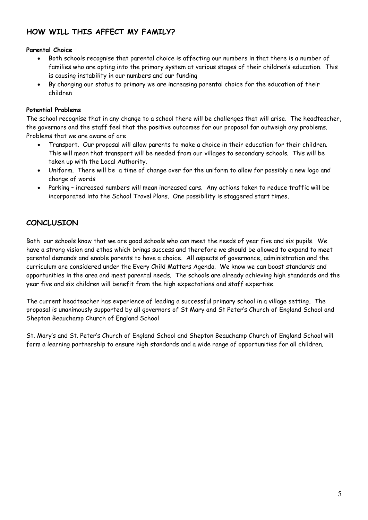## **HOW WILL THIS AFFECT MY FAMILY?**

#### **Parental Choice**

- Both schools recognise that parental choice is affecting our numbers in that there is a number of families who are opting into the primary system at various stages of their children's education. This is causing instability in our numbers and our funding
- By changing our status to primary we are increasing parental choice for the education of their children

#### **Potential Problems**

The school recognise that in any change to a school there will be challenges that will arise. The headteacher, the governors and the staff feel that the positive outcomes for our proposal far outweigh any problems. Problems that we are aware of are

- Transport. Our proposal will allow parents to make a choice in their education for their children. This will mean that transport will be needed from our villages to secondary schools. This will be taken up with the Local Authority.
- Uniform. There will be a time of change over for the uniform to allow for possibly a new logo and change of words
- Parking increased numbers will mean increased cars. Any actions taken to reduce traffic will be incorporated into the School Travel Plans. One possibility is staggered start times.

### **CONCLUSION**

Both our schools know that we are good schools who can meet the needs of year five and six pupils. We have a strong vision and ethos which brings success and therefore we should be allowed to expand to meet parental demands and enable parents to have a choice. All aspects of governance, administration and the curriculum are considered under the Every Child Matters Agenda. We know we can boost standards and opportunities in the area and meet parental needs. The schools are already achieving high standards and the year five and six children will benefit from the high expectations and staff expertise.

The current headteacher has experience of leading a successful primary school in a village setting. The proposal is unanimously supported by all governors of St Mary and St Peter's Church of England School and Shepton Beauchamp Church of England School

St. Mary's and St. Peter's Church of England School and Shepton Beauchamp Church of England School will form a learning partnership to ensure high standards and a wide range of opportunities for all children.